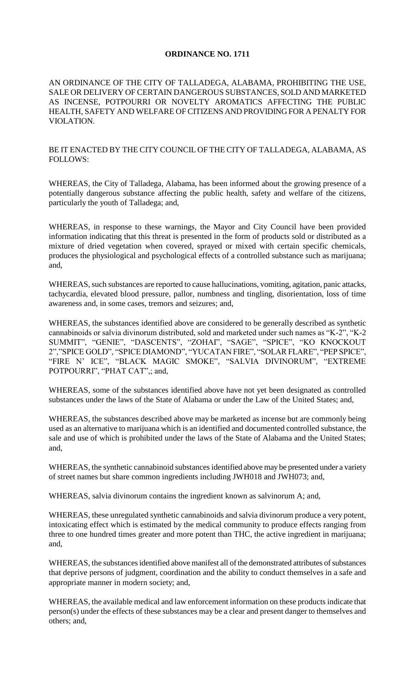# **ORDINANCE NO. 1711**

AN ORDINANCE OF THE CITY OF TALLADEGA, ALABAMA, PROHIBITING THE USE, SALE OR DELIVERY OF CERTAIN DANGEROUS SUBSTANCES, SOLD AND MARKETED AS INCENSE, POTPOURRI OR NOVELTY AROMATICS AFFECTING THE PUBLIC HEALTH, SAFETY AND WELFARE OF CITIZENS AND PROVIDING FOR A PENALTY FOR VIOLATION.

## BE IT ENACTED BY THE CITY COUNCIL OF THE CITY OF TALLADEGA, ALABAMA, AS FOLLOWS:

WHEREAS, the City of Talladega, Alabama, has been informed about the growing presence of a potentially dangerous substance affecting the public health, safety and welfare of the citizens, particularly the youth of Talladega; and,

WHEREAS, in response to these warnings, the Mayor and City Council have been provided information indicating that this threat is presented in the form of products sold or distributed as a mixture of dried vegetation when covered, sprayed or mixed with certain specific chemicals, produces the physiological and psychological effects of a controlled substance such as marijuana; and,

WHEREAS, such substances are reported to cause hallucinations, vomiting, agitation, panic attacks, tachycardia, elevated blood pressure, pallor, numbness and tingling, disorientation, loss of time awareness and, in some cases, tremors and seizures; and,

WHEREAS, the substances identified above are considered to be generally described as synthetic cannabinoids or salvia divinorum distributed, sold and marketed under such names as "K-2", "K-2 SUMMIT", "GENIE", "DASCENTS", "ZOHAI", "SAGE", "SPICE", "KO KNOCKOUT 2","SPICE GOLD", "SPICE DIAMOND", "YUCATAN FIRE", "SOLAR FLARE", "PEP SPICE", "FIRE N' ICE", "BLACK MAGIC SMOKE", "SALVIA DIVINORUM", "EXTREME POTPOURRI", "PHAT CAT"; and,

WHEREAS, some of the substances identified above have not yet been designated as controlled substances under the laws of the State of Alabama or under the Law of the United States; and,

WHEREAS, the substances described above may be marketed as incense but are commonly being used as an alternative to marijuana which is an identified and documented controlled substance, the sale and use of which is prohibited under the laws of the State of Alabama and the United States; and,

WHEREAS, the synthetic cannabinoid substances identified above may be presented under a variety of street names but share common ingredients including JWH018 and JWH073; and,

WHEREAS, salvia divinorum contains the ingredient known as salvinorum A; and,

WHEREAS, these unregulated synthetic cannabinoids and salvia divinorum produce a very potent, intoxicating effect which is estimated by the medical community to produce effects ranging from three to one hundred times greater and more potent than THC, the active ingredient in marijuana; and,

WHEREAS, the substances identified above manifest all of the demonstrated attributes of substances that deprive persons of judgment, coordination and the ability to conduct themselves in a safe and appropriate manner in modern society; and,

WHEREAS, the available medical and law enforcement information on these products indicate that person(s) under the effects of these substances may be a clear and present danger to themselves and others; and,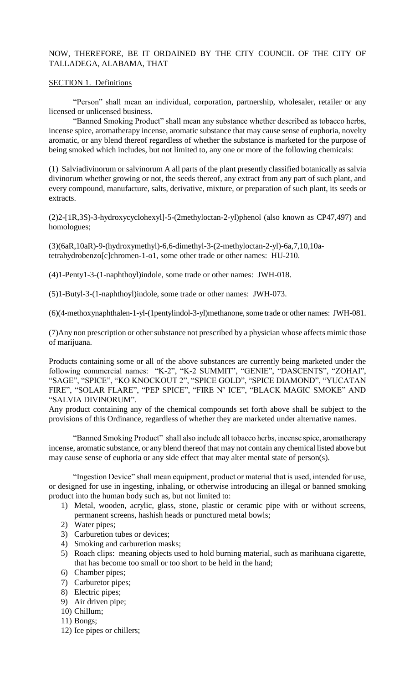# NOW, THEREFORE, BE IT ORDAINED BY THE CITY COUNCIL OF THE CITY OF TALLADEGA, ALABAMA, THAT

#### SECTION 1. Definitions

"Person" shall mean an individual, corporation, partnership, wholesaler, retailer or any licensed or unlicensed business.

"Banned Smoking Product" shall mean any substance whether described as tobacco herbs, incense spice, aromatherapy incense, aromatic substance that may cause sense of euphoria, novelty aromatic, or any blend thereof regardless of whether the substance is marketed for the purpose of being smoked which includes, but not limited to, any one or more of the following chemicals:

(1) Salviadivinorum or salvinorum A all parts of the plant presently classified botanically as salvia divinorum whether growing or not, the seeds thereof, any extract from any part of such plant, and every compound, manufacture, salts, derivative, mixture, or preparation of such plant, its seeds or extracts.

(2)2-[1R,3S)-3-hydroxycyclohexyl]-5-(2methyloctan-2-yl)phenol (also known as CP47,497) and homologues;

(3)(6aR,10aR)-9-(hydroxymethyl)-6,6-dimethyl-3-(2-methyloctan-2-yl)-6a,7,10,10atetrahydrobenzo[c]chromen-1-o1, some other trade or other names: HU-210.

(4)1-Penty1-3-(1-naphthoyl)indole, some trade or other names: JWH-018.

(5)1-Butyl-3-(1-naphthoyl)indole, some trade or other names: JWH-073.

(6)(4-methoxynaphthalen-1-yl-(1pentylindol-3-yl)methanone, some trade or other names: JWH-081.

(7)Any non prescription or other substance not prescribed by a physician whose affects mimic those of marijuana.

Products containing some or all of the above substances are currently being marketed under the following commercial names: "K-2", "K-2 SUMMIT", "GENIE", "DASCENTS", "ZOHAI", "SAGE", "SPICE", "KO KNOCKOUT 2", "SPICE GOLD", "SPICE DIAMOND", "YUCATAN FIRE", "SOLAR FLARE", "PEP SPICE", "FIRE N' ICE", "BLACK MAGIC SMOKE" AND "SALVIA DIVINORUM".

Any product containing any of the chemical compounds set forth above shall be subject to the provisions of this Ordinance, regardless of whether they are marketed under alternative names.

"Banned Smoking Product" shall also include all tobacco herbs, incense spice, aromatherapy incense, aromatic substance, or any blend thereof that may not contain any chemical listed above but may cause sense of euphoria or any side effect that may alter mental state of person(s).

"Ingestion Device" shall mean equipment, product or material that is used, intended for use, or designed for use in ingesting, inhaling, or otherwise introducing an illegal or banned smoking product into the human body such as, but not limited to:

- 1) Metal, wooden, acrylic, glass, stone, plastic or ceramic pipe with or without screens, permanent screens, hashish heads or punctured metal bowls;
- 2) Water pipes;
- 3) Carburetion tubes or devices;
- 4) Smoking and carburetion masks;
- 5) Roach clips: meaning objects used to hold burning material, such as marihuana cigarette, that has become too small or too short to be held in the hand;
- 6) Chamber pipes;
- 7) Carburetor pipes;
- 8) Electric pipes;
- 9) Air driven pipe;
- 10) Chillum;
- 11) Bongs;
- 12) Ice pipes or chillers;